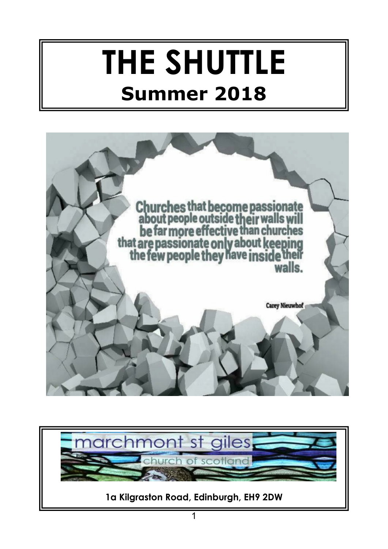# **THE SHUTTLE Summer 2018**



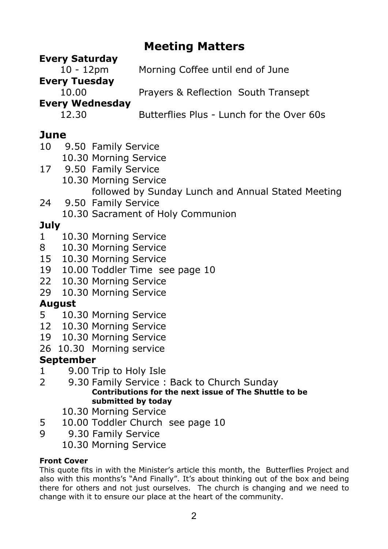# **Meeting Matters**

| <b>Every Saturday</b>  |                                           |
|------------------------|-------------------------------------------|
| $10 - 12pm$            | Morning Coffee until end of June          |
| <b>Every Tuesday</b>   |                                           |
| 10.00                  | Prayers & Reflection South Transept       |
| <b>Every Wednesday</b> |                                           |
| 12.30                  | Butterflies Plus - Lunch for the Over 60s |
|                        |                                           |

# **June**

- 10 9.50 Family Service
- 10.30 Morning Service
- 17 9.50 Family Service 10.30 Morning Service followed by Sunday Lunch and Annual Stated Meeting
- 24 9.50 Family Service 10.30 Sacrament of Holy Communion

# **July**

- 1 10.30 Morning Service
- 8 10.30 Morning Service
- 15 10.30 Morning Service
- 19 10.00 Toddler Time see page 10
- 22 10.30 Morning Service
- 29 10.30 Morning Service

# **August**

- 5 10.30 Morning Service
- 12 10.30 Morning Service
- 19 10.30 Morning Service
- 26 10.30 Morning service

## **September**

- 1 9.00 Trip to Holy Isle
- 2 9.30 Family Service : Back to Church Sunday **Contributions for the next issue of The Shuttle to be submitted by today**
	- 10.30 Morning Service
- 5 10.00 Toddler Church see page 10
- 9 9.30 Family Service
	- 10.30 Morning Service

#### **Front Cover**

This quote fits in with the Minister's article this month, the Butterflies Project and also with this months's "And Finally". It's about thinking out of the box and being there for others and not just ourselves. The church is changing and we need to change with it to ensure our place at the heart of the community.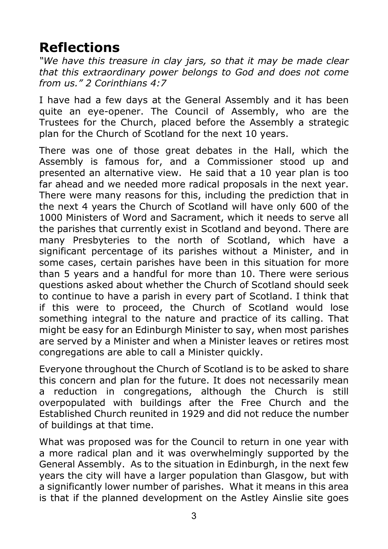# **Reflections**

*"We have this treasure in clay jars, so that it may be made clear that this extraordinary power belongs to God and does not come from us." 2 Corinthians 4:7*

I have had a few days at the General Assembly and it has been quite an eye-opener. The Council of Assembly, who are the Trustees for the Church, placed before the Assembly a strategic plan for the Church of Scotland for the next 10 years.

There was one of those great debates in the Hall, which the Assembly is famous for, and a Commissioner stood up and presented an alternative view. He said that a 10 year plan is too far ahead and we needed more radical proposals in the next year. There were many reasons for this, including the prediction that in the next 4 years the Church of Scotland will have only 600 of the 1000 Ministers of Word and Sacrament, which it needs to serve all the parishes that currently exist in Scotland and beyond. There are many Presbyteries to the north of Scotland, which have a significant percentage of its parishes without a Minister, and in some cases, certain parishes have been in this situation for more than 5 years and a handful for more than 10. There were serious questions asked about whether the Church of Scotland should seek to continue to have a parish in every part of Scotland. I think that if this were to proceed, the Church of Scotland would lose something integral to the nature and practice of its calling. That might be easy for an Edinburgh Minister to say, when most parishes are served by a Minister and when a Minister leaves or retires most congregations are able to call a Minister quickly.

Everyone throughout the Church of Scotland is to be asked to share this concern and plan for the future. It does not necessarily mean a reduction in congregations, although the Church is still overpopulated with buildings after the Free Church and the Established Church reunited in 1929 and did not reduce the number of buildings at that time.

What was proposed was for the Council to return in one year with a more radical plan and it was overwhelmingly supported by the General Assembly. As to the situation in Edinburgh, in the next few years the city will have a larger population than Glasgow, but with a significantly lower number of parishes. What it means in this area is that if the planned development on the Astley Ainslie site goes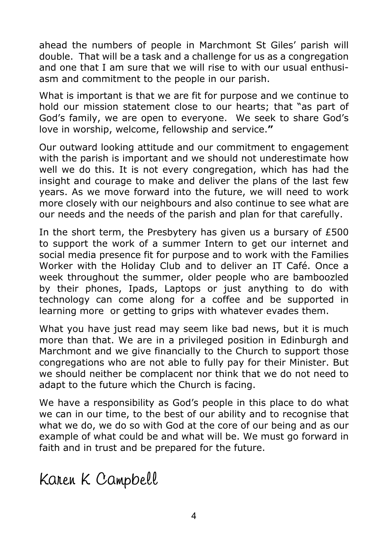ahead the numbers of people in Marchmont St Giles' parish will double. That will be a task and a challenge for us as a congregation and one that I am sure that we will rise to with our usual enthusiasm and commitment to the people in our parish.

What is important is that we are fit for purpose and we continue to hold our mission statement close to our hearts; that "as part of God's family, we are open to everyone. We seek to share God's love in worship, welcome, fellowship and service.**"**

Our outward looking attitude and our commitment to engagement with the parish is important and we should not underestimate how well we do this. It is not every congregation, which has had the insight and courage to make and deliver the plans of the last few years. As we move forward into the future, we will need to work more closely with our neighbours and also continue to see what are our needs and the needs of the parish and plan for that carefully.

In the short term, the Presbytery has given us a bursary of £500 to support the work of a summer Intern to get our internet and social media presence fit for purpose and to work with the Families Worker with the Holiday Club and to deliver an IT Café. Once a week throughout the summer, older people who are bamboozled by their phones, Ipads, Laptops or just anything to do with technology can come along for a coffee and be supported in learning more or getting to grips with whatever evades them.

What you have just read may seem like bad news, but it is much more than that. We are in a privileged position in Edinburgh and Marchmont and we give financially to the Church to support those congregations who are not able to fully pay for their Minister. But we should neither be complacent nor think that we do not need to adapt to the future which the Church is facing.

We have a responsibility as God's people in this place to do what we can in our time, to the best of our ability and to recognise that what we do, we do so with God at the core of our being and as our example of what could be and what will be. We must go forward in faith and in trust and be prepared for the future.

Karen K Campbell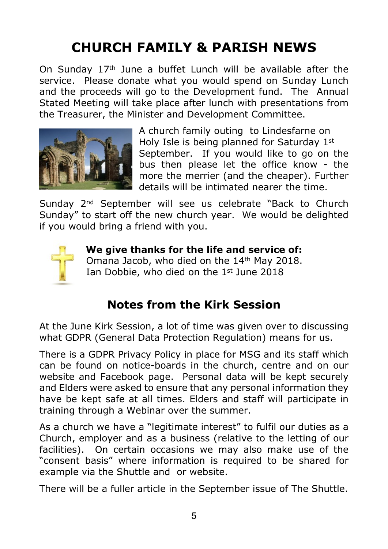# **CHURCH FAMILY & PARISH NEWS**

On Sunday  $17<sup>th</sup>$  June a buffet Lunch will be available after the service. Please donate what you would spend on Sunday Lunch and the proceeds will go to the Development fund. The Annual Stated Meeting will take place after lunch with presentations from the Treasurer, the Minister and Development Committee.



A church family outing to Lindesfarne on Holy Isle is being planned for Saturday 1st September. If you would like to go on the bus then please let the office know - the more the merrier (and the cheaper). Further details will be intimated nearer the time.

Sunday 2nd September will see us celebrate "Back to Church Sunday" to start off the new church year. We would be delighted if you would bring a friend with you.



 **We give thanks for the life and service of:** Omana Jacob, who died on the 14<sup>th</sup> May 2018. Ian Dobbie, who died on the 1<sup>st</sup> June 2018

# **Notes from the Kirk Session**

At the June Kirk Session, a lot of time was given over to discussing what GDPR (General Data Protection Regulation) means for us.

There is a GDPR Privacy Policy in place for MSG and its staff which can be found on notice-boards in the church, centre and on our website and Facebook page. Personal data will be kept securely and Elders were asked to ensure that any personal information they have be kept safe at all times. Elders and staff will participate in training through a Webinar over the summer.

As a church we have a "legitimate interest" to fulfil our duties as a Church, employer and as a business (relative to the letting of our facilities). On certain occasions we may also make use of the "consent basis" where information is required to be shared for example via the Shuttle and or website.

There will be a fuller article in the September issue of The Shuttle.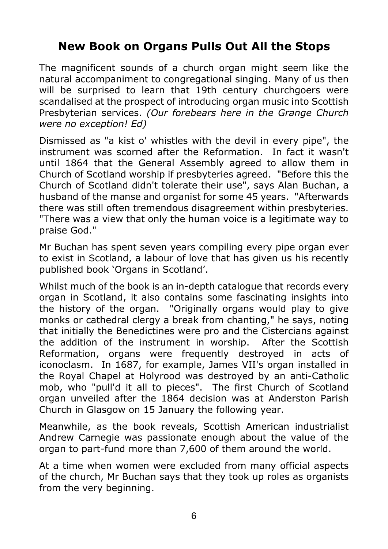# **New Book on Organs Pulls Out All the Stops**

The magnificent sounds of a church organ might seem like the natural accompaniment to congregational singing. Many of us then will be surprised to learn that 19th century churchgoers were scandalised at the prospect of introducing organ music into Scottish Presbyterian services. *(Our forebears here in the Grange Church were no exception! Ed)*

Dismissed as "a kist o' whistles with the devil in every pipe", the instrument was scorned after the Reformation. In fact it wasn't until 1864 that the General Assembly agreed to allow them in Church of Scotland worship if presbyteries agreed. "Before this the Church of Scotland didn't tolerate their use", says Alan Buchan, a husband of the manse and organist for some 45 years. "Afterwards there was still often tremendous disagreement within presbyteries. "There was a view that only the human voice is a legitimate way to praise God."

Mr Buchan has spent seven years compiling every pipe organ ever to exist in Scotland, a labour of love that has given us his recently published book 'Organs in Scotland'.

Whilst much of the book is an in-depth catalogue that records every organ in Scotland, it also contains some fascinating insights into the history of the organ. "Originally organs would play to give monks or cathedral clergy a break from chanting," he says, noting that initially the Benedictines were pro and the Cistercians against the addition of the instrument in worship. After the Scottish Reformation, organs were frequently destroyed in acts of iconoclasm. In 1687, for example, James VII's organ installed in the Royal Chapel at Holyrood was destroyed by an anti-Catholic mob, who "pull'd it all to pieces". The first Church of Scotland organ unveiled after the 1864 decision was at Anderston Parish Church in Glasgow on 15 January the following year.

Meanwhile, as the book reveals, Scottish American industrialist Andrew Carnegie was passionate enough about the value of the organ to part-fund more than 7,600 of them around the world.

At a time when women were excluded from many official aspects of the church, Mr Buchan says that they took up roles as organists from the very beginning.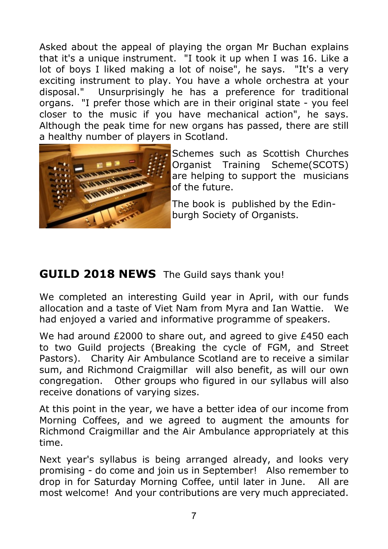Asked about the appeal of playing the organ Mr Buchan explains that it's a unique instrument. "I took it up when I was 16. Like a lot of boys I liked making a lot of noise", he says. "It's a very exciting instrument to play. You have a whole orchestra at your disposal." Unsurprisingly he has a preference for traditional Unsurprisingly he has a preference for traditional organs. "I prefer those which are in their original state - you feel closer to the music if you have mechanical action", he says. Although the peak time for new organs has passed, there are still a healthy number of players in Scotland.



Schemes such as Scottish Churches Organist Training Scheme(SCOTS) are helping to support the musicians of the future.

The book is published by the Edin burgh Society of Organists.

# **GUILD 2018 NEWS** The Guild says thank you!

We completed an interesting Guild year in April, with our funds allocation and a taste of Viet Nam from Myra and Ian Wattie. We had enjoyed a varied and informative programme of speakers.

We had around £2000 to share out, and agreed to give £450 each to two Guild projects (Breaking the cycle of FGM, and Street Pastors). Charity Air Ambulance Scotland are to receive a similar sum, and Richmond Craigmillar will also benefit, as will our own congregation. Other groups who figured in our syllabus will also receive donations of varying sizes.

At this point in the year, we have a better idea of our income from Morning Coffees, and we agreed to augment the amounts for Richmond Craigmillar and the Air Ambulance appropriately at this time.

Next year's syllabus is being arranged already, and looks very promising - do come and join us in September! Also remember to drop in for Saturday Morning Coffee, until later in June. All are most welcome! And your contributions are very much appreciated.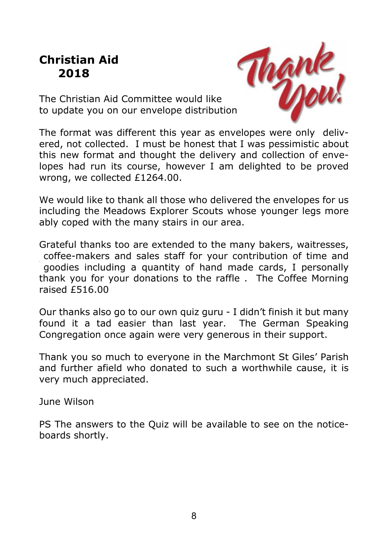# **Christian Aid 2018**



The Christian Aid Committee would like to update you on our envelope distribution.

The format was different this year as envelopes were only delivered, not collected. I must be honest that I was pessimistic about this new format and thought the delivery and collection of envelopes had run its course, however I am delighted to be proved wrong, we collected £1264.00.

We would like to thank all those who delivered the envelopes for us including the Meadows Explorer Scouts whose younger legs more ably coped with the many stairs in our area.

Grateful thanks too are extended to the many bakers, waitresses, coffee-makers and sales staff for your contribution of time and goodies including a quantity of hand made cards, I personally thank you for your donations to the raffle . The Coffee Morning raised £516.00

Our thanks also go to our own quiz guru - I didn't finish it but many found it a tad easier than last year. The German Speaking Congregation once again were very generous in their support.

Thank you so much to everyone in the Marchmont St Giles' Parish and further afield who donated to such a worthwhile cause, it is very much appreciated.

June Wilson

PS The answers to the Quiz will be available to see on the noticeboards shortly.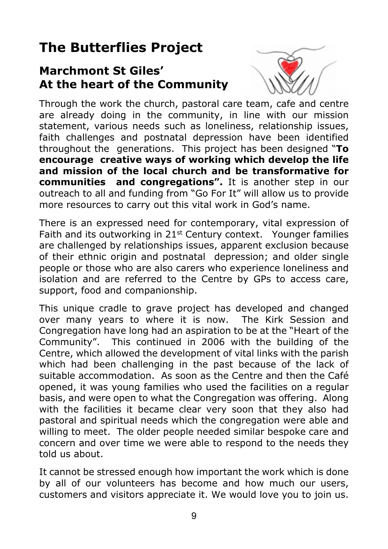# **The Butterflies Project**

# **Marchmont St Giles' At the heart of the Community**



Through the work the church, pastoral care team, cafe and centre are already doing in the community, in line with our mission statement, various needs such as loneliness, relationship issues, faith challenges and postnatal depression have been identified throughout the generations. This project has been designed "**To encourage creative ways of working which develop the life and mission of the local church and be transformative for communities and congregations".** It is another step in our outreach to all and funding from "Go For It" will allow us to provide more resources to carry out this vital work in God's name.

There is an expressed need for contemporary, vital expression of Faith and its outworking in 21<sup>st</sup> Century context. Younger families are challenged by relationships issues, apparent exclusion because of their ethnic origin and postnatal depression; and older single people or those who are also carers who experience loneliness and isolation and are referred to the Centre by GPs to access care, support, food and companionship.

This unique cradle to grave project has developed and changed over many years to where it is now. The Kirk Session and Congregation have long had an aspiration to be at the "Heart of the Community". This continued in 2006 with the building of the Centre, which allowed the development of vital links with the parish which had been challenging in the past because of the lack of suitable accommodation. As soon as the Centre and then the Café opened, it was young families who used the facilities on a regular basis, and were open to what the Congregation was offering. Along with the facilities it became clear very soon that they also had pastoral and spiritual needs which the congregation were able and willing to meet. The older people needed similar bespoke care and concern and over time we were able to respond to the needs they told us about.

It cannot be stressed enough how important the work which is done by all of our volunteers has become and how much our users, customers and visitors appreciate it. We would love you to join us.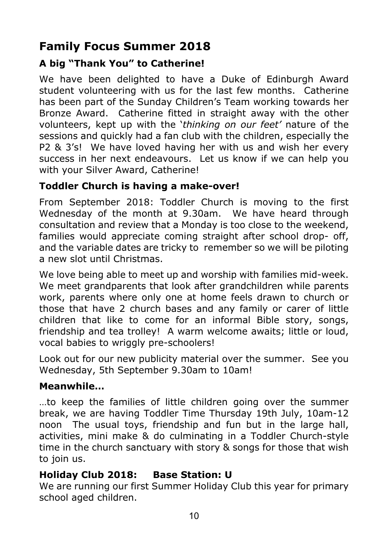# **Family Focus Summer 2018**

#### **A big "Thank You" to Catherine!**

We have been delighted to have a Duke of Edinburgh Award student volunteering with us for the last few months. Catherine has been part of the Sunday Children's Team working towards her Bronze Award. Catherine fitted in straight away with the other volunteers, kept up with the '*thinking on our feet'* nature of the sessions and quickly had a fan club with the children, especially the P2 & 3's! We have loved having her with us and wish her every success in her next endeavours. Let us know if we can help you with your Silver Award, Catherine!

#### **Toddler Church is having a make-over!**

From September 2018: Toddler Church is moving to the first Wednesday of the month at 9.30am. We have heard through consultation and review that a Monday is too close to the weekend, families would appreciate coming straight after school drop- off, and the variable dates are tricky to remember so we will be piloting a new slot until Christmas.

We love being able to meet up and worship with families mid-week. We meet grandparents that look after grandchildren while parents work, parents where only one at home feels drawn to church or those that have 2 church bases and any family or carer of little children that like to come for an informal Bible story, songs, friendship and tea trolley! A warm welcome awaits; little or loud, vocal babies to wriggly pre-schoolers!

Look out for our new publicity material over the summer. See you Wednesday, 5th September 9.30am to 10am!

#### **Meanwhile…**

…to keep the families of little children going over the summer break, we are having Toddler Time Thursday 19th July, 10am-12 noon The usual toys, friendship and fun but in the large hall, activities, mini make & do culminating in a Toddler Church-style time in the church sanctuary with story & songs for those that wish to join us.

#### **Holiday Club 2018: Base Station: U**

We are running our first Summer Holiday Club this year for primary school aged children.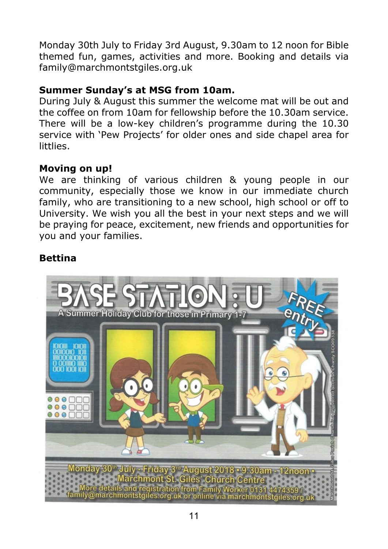Monday 30th July to Friday 3rd August, 9.30am to 12 noon for Bible themed fun, games, activities and more. Booking and details via family@marchmontstgiles.org.uk

#### **Summer Sunday's at MSG from 10am.**

During July & August this summer the welcome mat will be out and the coffee on from 10am for fellowship before the 10.30am service. There will be a low-key children's programme during the 10.30 service with 'Pew Projects' for older ones and side chapel area for littlies.

#### **Moving on up!**

We are thinking of various children & young people in our community, especially those we know in our immediate church family, who are transitioning to a new school, high school or off to University. We wish you all the best in your next steps and we will be praying for peace, excitement, new friends and opportunities for you and your families.

#### **Bettina**

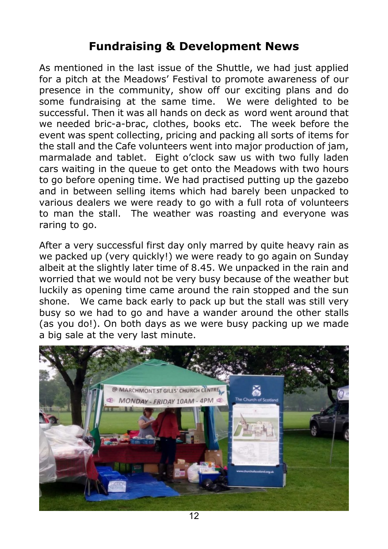# **Fundraising & Development News**

As mentioned in the last issue of the Shuttle, we had just applied for a pitch at the Meadows' Festival to promote awareness of our presence in the community, show off our exciting plans and do some fundraising at the same time. We were delighted to be successful. Then it was all hands on deck as word went around that we needed bric-a-brac, clothes, books etc. The week before the event was spent collecting, pricing and packing all sorts of items for the stall and the Cafe volunteers went into major production of jam, marmalade and tablet. Eight o'clock saw us with two fully laden cars waiting in the queue to get onto the Meadows with two hours to go before opening time. We had practised putting up the gazebo and in between selling items which had barely been unpacked to various dealers we were ready to go with a full rota of volunteers to man the stall. The weather was roasting and everyone was raring to go.

After a very successful first day only marred by quite heavy rain as we packed up (very quickly!) we were ready to go again on Sunday albeit at the slightly later time of 8.45. We unpacked in the rain and worried that we would not be very busy because of the weather but luckily as opening time came around the rain stopped and the sun shone. We came back early to pack up but the stall was still very busy so we had to go and have a wander around the other stalls (as you do!). On both days as we were busy packing up we made a big sale at the very last minute.

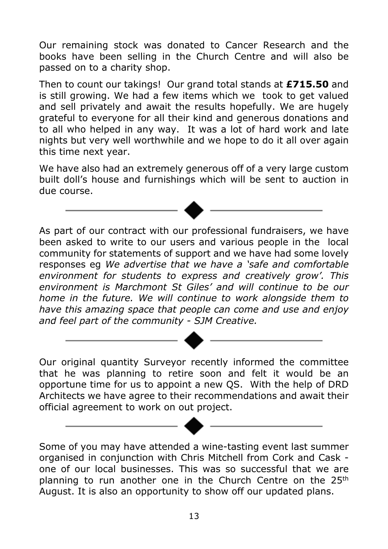Our remaining stock was donated to Cancer Research and the books have been selling in the Church Centre and will also be passed on to a charity shop.

Then to count our takings! Our grand total stands at **£715.50** and is still growing. We had a few items which we took to get valued and sell privately and await the results hopefully. We are hugely grateful to everyone for all their kind and generous donations and to all who helped in any way. It was a lot of hard work and late nights but very well worthwhile and we hope to do it all over again this time next year.

We have also had an extremely generous off of a very large custom built doll's house and furnishings which will be sent to auction in due course.

As part of our contract with our professional fundraisers, we have been asked to write to our users and various people in the local community for statements of support and we have had some lovely responses eg *We advertise that we have a 'safe and comfortable environment for students to express and creatively grow'. This environment is Marchmont St Giles' and will continue to be our home in the future. We will continue to work alongside them to have this amazing space that people can come and use and enjoy and feel part of the community - SJM Creative.*

Our original quantity Surveyor recently informed the committee that he was planning to retire soon and felt it would be an opportune time for us to appoint a new QS. With the help of DRD Architects we have agree to their recommendations and await their official agreement to work on out project.

Some of you may have attended a wine-tasting event last summer organised in conjunction with Chris Mitchell from Cork and Cask one of our local businesses. This was so successful that we are planning to run another one in the Church Centre on the  $25<sup>th</sup>$ August. It is also an opportunity to show off our updated plans.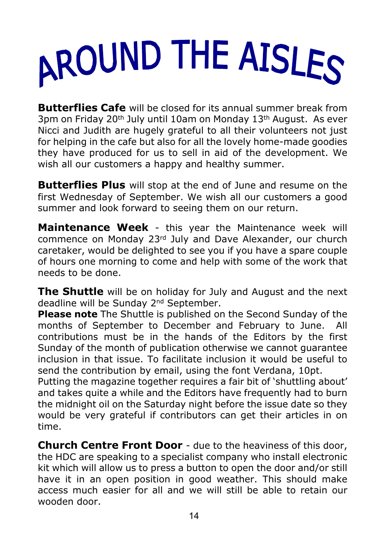# AROUND THE AISLES

**Butterflies Cafe** will be closed for its annual summer break from 3pm on Friday 20th July until 10am on Monday 13th August. As ever Nicci and Judith are hugely grateful to all their volunteers not just for helping in the cafe but also for all the lovely home-made goodies they have produced for us to sell in aid of the development. We wish all our customers a happy and healthy summer.

**Butterflies Plus** will stop at the end of June and resume on the first Wednesday of September. We wish all our customers a good summer and look forward to seeing them on our return.

**Maintenance Week** - this year the Maintenance week will commence on Monday 23rd July and Dave Alexander, our church caretaker, would be delighted to see you if you have a spare couple of hours one morning to come and help with some of the work that needs to be done.

**The Shuttle** will be on holiday for July and August and the next deadline will be Sunday 2nd September.

**Please note** The Shuttle is published on the Second Sunday of the months of September to December and February to June. All contributions must be in the hands of the Editors by the first Sunday of the month of publication otherwise we cannot guarantee inclusion in that issue. To facilitate inclusion it would be useful to send the contribution by email, using the font Verdana, 10pt.

Putting the magazine together requires a fair bit of 'shuttling about' and takes quite a while and the Editors have frequently had to burn the midnight oil on the Saturday night before the issue date so they would be very grateful if contributors can get their articles in on time.

**Church Centre Front Door** - due to the heaviness of this door, the HDC are speaking to a specialist company who install electronic kit which will allow us to press a button to open the door and/or still have it in an open position in good weather. This should make access much easier for all and we will still be able to retain our wooden door.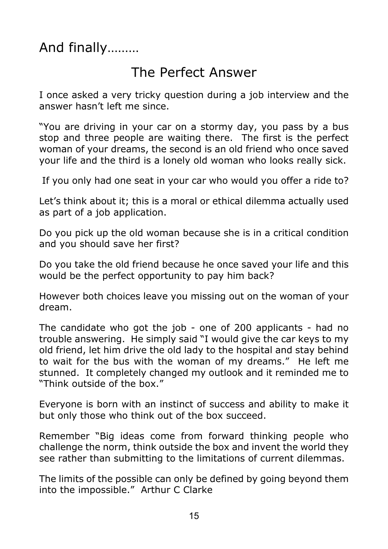And finally………

# The Perfect Answer

I once asked a very tricky question during a job interview and the answer hasn't left me since.

"You are driving in your car on a stormy day, you pass by a bus stop and three people are waiting there. The first is the perfect woman of your dreams, the second is an old friend who once saved your life and the third is a lonely old woman who looks really sick.

If you only had one seat in your car who would you offer a ride to?

Let's think about it; this is a moral or ethical dilemma actually used as part of a job application.

Do you pick up the old woman because she is in a critical condition and you should save her first?

Do you take the old friend because he once saved your life and this would be the perfect opportunity to pay him back?

However both choices leave you missing out on the woman of your dream.

The candidate who got the job - one of 200 applicants - had no trouble answering. He simply said "I would give the car keys to my old friend, let him drive the old lady to the hospital and stay behind to wait for the bus with the woman of my dreams." He left me stunned. It completely changed my outlook and it reminded me to "Think outside of the box."

Everyone is born with an instinct of success and ability to make it but only those who think out of the box succeed.

Remember "Big ideas come from forward thinking people who challenge the norm, think outside the box and invent the world they see rather than submitting to the limitations of current dilemmas.

The limits of the possible can only be defined by going beyond them into the impossible." Arthur C Clarke